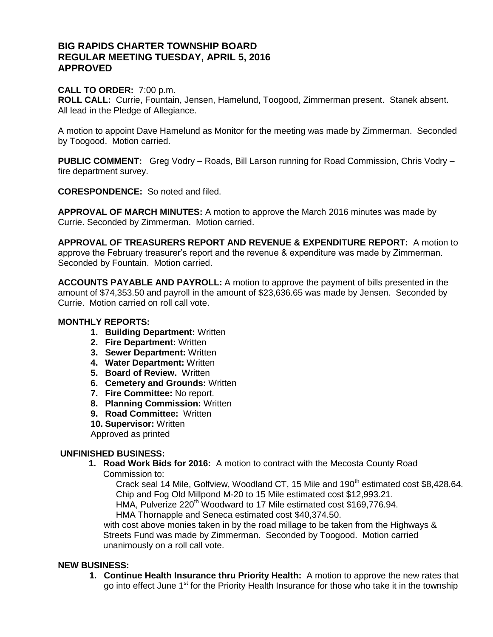# **BIG RAPIDS CHARTER TOWNSHIP BOARD REGULAR MEETING TUESDAY, APRIL 5, 2016 APPROVED**

## **CALL TO ORDER:** 7:00 p.m.

**ROLL CALL:** Currie, Fountain, Jensen, Hamelund, Toogood, Zimmerman present. Stanek absent. All lead in the Pledge of Allegiance.

A motion to appoint Dave Hamelund as Monitor for the meeting was made by Zimmerman. Seconded by Toogood. Motion carried.

**PUBLIC COMMENT:** Greg Vodry – Roads, Bill Larson running for Road Commission, Chris Vodry – fire department survey.

**CORESPONDENCE:** So noted and filed.

**APPROVAL OF MARCH MINUTES:** A motion to approve the March 2016 minutes was made by Currie. Seconded by Zimmerman. Motion carried.

**APPROVAL OF TREASURERS REPORT AND REVENUE & EXPENDITURE REPORT:** A motion to approve the February treasurer's report and the revenue & expenditure was made by Zimmerman. Seconded by Fountain. Motion carried.

**ACCOUNTS PAYABLE AND PAYROLL:** A motion to approve the payment of bills presented in the amount of \$74,353.50 and payroll in the amount of \$23,636.65 was made by Jensen. Seconded by Currie. Motion carried on roll call vote.

## **MONTHLY REPORTS:**

- **1. Building Department:** Written
- **2. Fire Department:** Written
- **3. Sewer Department:** Written
- **4. Water Department:** Written
- **5. Board of Review.** Written
- **6. Cemetery and Grounds:** Written
- **7. Fire Committee:** No report.
- **8. Planning Commission:** Written
- **9. Road Committee:** Written

**10. Supervisor:** Written

Approved as printed

### **UNFINISHED BUSINESS:**

- **1. Road Work Bids for 2016:** A motion to contract with the Mecosta County Road
	- Commission to:

Crack seal 14 Mile, Golfview, Woodland CT, 15 Mile and 190<sup>th</sup> estimated cost \$8,428.64. Chip and Fog Old Millpond M-20 to 15 Mile estimated cost \$12,993.21.

HMA, Pulverize 220<sup>th</sup> Woodward to 17 Mile estimated cost \$169,776.94.

HMA Thornapple and Seneca estimated cost \$40,374.50.

with cost above monies taken in by the road millage to be taken from the Highways & Streets Fund was made by Zimmerman. Seconded by Toogood. Motion carried unanimously on a roll call vote.

### **NEW BUSINESS:**

**1. Continue Health Insurance thru Priority Health:** A motion to approve the new rates that go into effect June 1<sup>st</sup> for the Priority Health Insurance for those who take it in the township